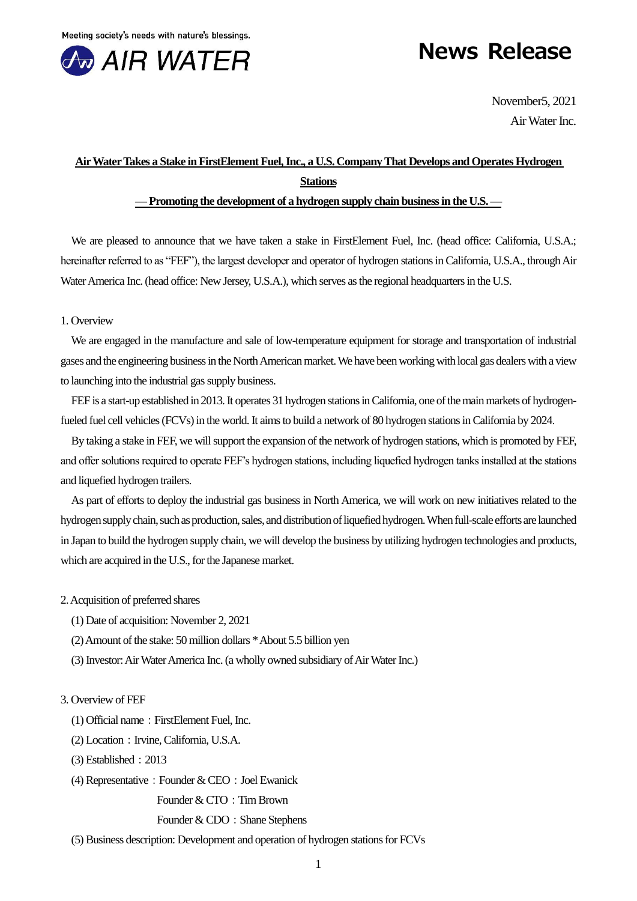

# **News Release**

November5, 2021 Air Water Inc.

# **Air Water Takes a Stake in FirstElement Fuel, Inc., a U.S. Company That Develops and Operates Hydrogen Stations**

# **—Promoting the development of a hydrogen supply chain business in the U.S. —**

We are pleased to announce that we have taken a stake in FirstElement Fuel, Inc. (head office: California, U.S.A.; hereinafter referred to as "FEF"), the largest developer and operator of hydrogen stations in California, U.S.A., through Air Water America Inc. (head office: New Jersey, U.S.A.), which serves as the regional headquarters in the U.S.

# 1. Overview

We are engaged in the manufacture and sale of low-temperature equipment for storage and transportation of industrial gases and the engineering business in the North American market. We have been working with local gas dealers with a view to launching into the industrial gas supply business.

FEF is a start-up established in 2013. It operates 31 hydrogen stations in California, one of the main markets of hydrogenfueled fuel cell vehicles (FCVs) in the world. It aims to build a network of 80 hydrogen stations in California by 2024.

By taking a stake in FEF, we will support the expansion of the network of hydrogen stations, which is promoted by FEF, and offer solutions required to operate FEF's hydrogen stations, including liquefied hydrogen tanks installed at the stations and liquefied hydrogen trailers.

As part of efforts to deploy the industrial gas business in North America, we will work on new initiatives related to the hydrogen supply chain, such as production, sales, and distribution of liquefied hydrogen. When full-scale efforts are launched in Japan to build the hydrogen supply chain, we will develop the business by utilizing hydrogen technologies and products, which are acquired in the U.S., for the Japanese market.

- 2. Acquisition of preferred shares
	- (1) Date of acquisition: November 2, 2021
	- (2) Amount of the stake: 50 million dollars \* About 5.5 billion yen
	- (3) Investor: Air Water America Inc. (a wholly owned subsidiary of Air Water Inc.)

# 3. Overview of FEF

- $(1)$  Official name: FirstElement Fuel, Inc.
- (2) Location: Irvine, California, U.S.A.
- (3) Established:2013
- (4) Representative: Founder  $&$  CEO: Joel Ewanick

Founder & CTO: Tim Brown

#### Founder & CDO: Shane Stephens

(5) Business description: Development and operation of hydrogen stations for FCVs